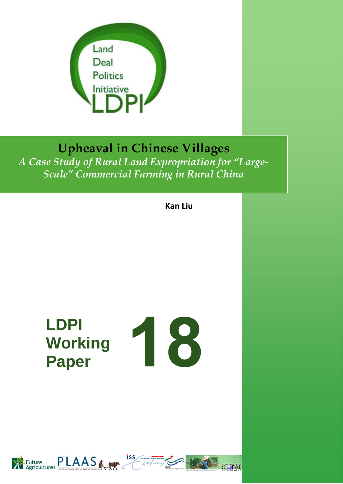

# **Upheaval in Chinese Villages**

*A Case Study of Rural Land Expropriation for "Large-Scale" Commercial Farming in Rural China* 

**Kan Liu**

# **LDPI Working Paper**





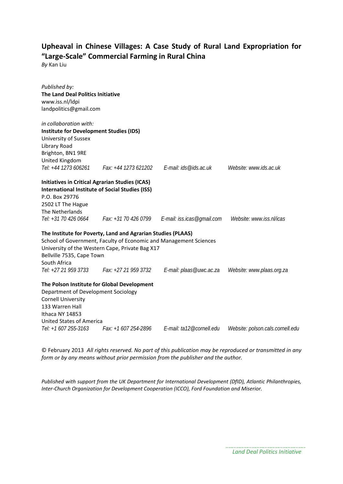# **Upheaval in Chinese Villages: A Case Study of Rural Land Expropriation for "Large‐Scale" Commercial Farming in Rural China**

*By* Kan Liu

| Published by:<br><b>The Land Deal Politics Initiative</b><br>www.iss.nl/ldpi<br>landpolitics@gmail.com |                                                                                                                                                                                      |                                                                      |                                  |
|--------------------------------------------------------------------------------------------------------|--------------------------------------------------------------------------------------------------------------------------------------------------------------------------------------|----------------------------------------------------------------------|----------------------------------|
| in collaboration with:                                                                                 |                                                                                                                                                                                      |                                                                      |                                  |
| <b>Institute for Development Studies (IDS)</b><br>University of Sussex                                 |                                                                                                                                                                                      |                                                                      |                                  |
| Library Road                                                                                           |                                                                                                                                                                                      |                                                                      |                                  |
| Brighton, BN1 9RE                                                                                      |                                                                                                                                                                                      |                                                                      |                                  |
| United Kingdom                                                                                         |                                                                                                                                                                                      |                                                                      |                                  |
| Tel: +44 1273 606261                                                                                   |                                                                                                                                                                                      |                                                                      | Website: www.ids.ac.uk           |
| <b>Initiatives in Critical Agrarian Studies (ICAS)</b>                                                 |                                                                                                                                                                                      |                                                                      |                                  |
| <b>International Institute of Social Studies (ISS)</b>                                                 |                                                                                                                                                                                      |                                                                      |                                  |
| P.O. Box 29776                                                                                         |                                                                                                                                                                                      |                                                                      |                                  |
| 2502 LT The Hague                                                                                      |                                                                                                                                                                                      |                                                                      |                                  |
| The Netherlands                                                                                        |                                                                                                                                                                                      |                                                                      |                                  |
|                                                                                                        |                                                                                                                                                                                      | Tel: +31 70 426 0664 Fax: +31 70 426 0799 E-mail: iss.icas@gmail.com | Website: www.iss.nl/icas         |
| Bellville 7535, Cape Town<br>South Africa                                                              | The Institute for Poverty, Land and Agrarian Studies (PLAAS)<br>School of Government, Faculty of Economic and Management Sciences<br>University of the Western Cape, Private Bag X17 |                                                                      |                                  |
| Tel: +27 21 959 3733                                                                                   | Fax: +27 21 959 3732                                                                                                                                                                 | E-mail: plaas@uwc.ac.za                                              | Website: www.plaas.org.za        |
|                                                                                                        | The Polson Institute for Global Development                                                                                                                                          |                                                                      |                                  |
| Department of Development Sociology                                                                    |                                                                                                                                                                                      |                                                                      |                                  |
| <b>Cornell University</b>                                                                              |                                                                                                                                                                                      |                                                                      |                                  |
| 133 Warren Hall                                                                                        |                                                                                                                                                                                      |                                                                      |                                  |
| Ithaca NY 14853                                                                                        |                                                                                                                                                                                      |                                                                      |                                  |
| United States of America                                                                               |                                                                                                                                                                                      |                                                                      |                                  |
| Tel: +1 607 255-3163                                                                                   |                                                                                                                                                                                      |                                                                      | Website: polson.cals.cornell.edu |

© February 2013 *All rights reserved. No part of this publication may be reproduced or transmitted in any form or by any means without prior permission from the publisher and the author.*

*Published with support from the UK Department for International Development (DfID), Atlantic Philanthropies, Inter‐Church Organization for Development Cooperation (ICCO), Ford Foundation and Miserior.*

*Land Deal Politics Initiative*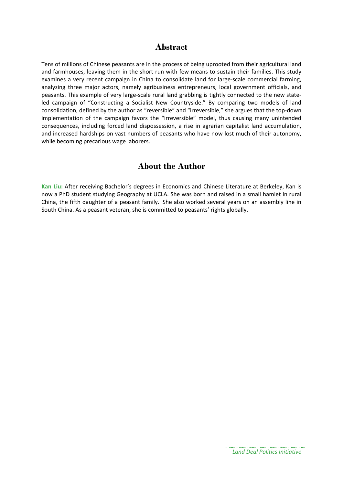#### **Abstract**

Tens of millions of Chinese peasants are in the process of being uprooted from their agricultural land and farmhouses, leaving them in the short run with few means to sustain their families. This study examines a very recent campaign in China to consolidate land for large-scale commercial farming, analyzing three major actors, namely agribusiness entrepreneurs, local government officials, and peasants. This example of very large-scale rural land grabbing is tightly connected to the new stateled campaign of "Constructing a Socialist New Countryside." By comparing two models of land consolidation, defined by the author as "reversible" and "irreversible," she argues that the top‐down implementation of the campaign favors the "irreversible" model, thus causing many unintended consequences, including forced land dispossession, a rise in agrarian capitalist land accumulation, and increased hardships on vast numbers of peasants who have now lost much of their autonomy, while becoming precarious wage laborers.

# **About the Author**

**Kan Liu:** After receiving Bachelor's degrees in Economics and Chinese Literature at Berkeley, Kan is now a PhD student studying Geography at UCLA. She was born and raised in a small hamlet in rural China, the fifth daughter of a peasant family. She also worked several years on an assembly line in South China. As a peasant veteran, she is committed to peasants' rights globally.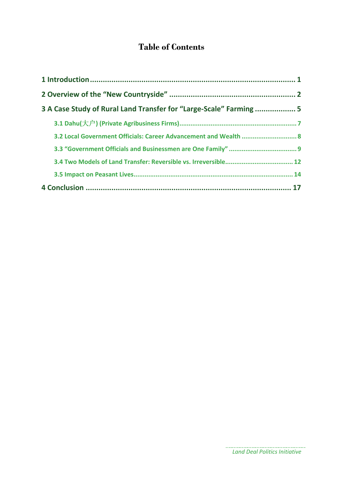# **Table of Contents**

| 3 A Case Study of Rural Land Transfer for "Large-Scale" Farming  5 |  |
|--------------------------------------------------------------------|--|
|                                                                    |  |
| 3.2 Local Government Officials: Career Advancement and Wealth  8   |  |
|                                                                    |  |
|                                                                    |  |
|                                                                    |  |
|                                                                    |  |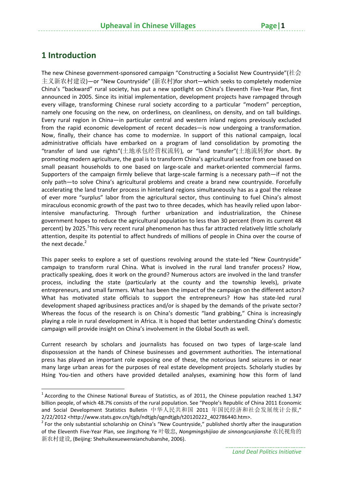# **1 Introduction**

The new Chinese government‐sponsored campaign "Constructing a Socialist New Countryside"(社会 主义新农村建设)—or "New Countryside" (新农村)for short—which seeks to completely modernize China's "backward" rural society, has put a new spotlight on China's Eleventh Five‐Year Plan, first announced in 2005. Since its initial implementation, development projects have rampaged through every village, transforming Chinese rural society according to a particular "modern" perception, namely one focusing on the new, on orderliness, on cleanliness, on density, and on tall buildings. Every rural region in China—in particular central and western inland regions previously excluded from the rapid economic development of recent decades—is now undergoing a transformation. Now, finally, their chance has come to modernize. In support of this national campaign, local administrative officials have embarked on a program of land consolidation by promoting the "transfer of land use rights"(土地承包经营权流转), or "land transfer"(土地流转)for short. By promoting modern agriculture, the goal is to transform China's agricultural sector from one based on small peasant households to one based on large-scale and market-oriented commercial farms. Supporters of the campaign firmly believe that large‐scale farming is a necessary path—if not the only path—to solve China's agricultural problems and create a brand new countryside. Forcefully accelerating the land transfer process in hinterland regions simultaneously has as a goal the release of ever more "surplus" labor from the agricultural sector, thus continuing to fuel China's almost miraculous economic growth of the past two to three decades, which has heavily relied upon labor‐ intensive manufacturing. Through further urbanization and industrialization, the Chinese government hopes to reduce the agricultural population to less than 30 percent (from its current 48 percent) by 2025.<sup>1</sup>This very recent rural phenomenon has thus far attracted relatively little scholarly attention, despite its potential to affect hundreds of millions of people in China over the course of the next decade. $2$ 

This paper seeks to explore a set of questions revolving around the state-led "New Countryside" campaign to transform rural China. What is involved in the rural land transfer process? How, practically speaking, does it work on the ground? Numerous actors are involved in the land transfer process, including the state (particularly at the county and the township levels), private entrepreneurs, and small farmers. What has been the impact of the campaign on the different actors? What has motivated state officials to support the entrepreneurs? How has state-led rural development shaped agribusiness practices and/or is shaped by the demands of the private sector? Whereas the focus of the research is on China's domestic "land grabbing," China is increasingly playing a role in rural development in Africa. It is hoped that better understanding China's domestic campaign will provide insight on China's involvement in the Global South as well.

Current research by scholars and journalists has focused on two types of large‐scale land dispossession at the hands of Chinese businesses and government authorities. The international press has played an important role exposing one of these, the notorious land seizures in or near many large urban areas for the purposes of real estate development projects. Scholarly studies by Hsing You-tien and others have provided detailed analyses, examining how this form of land

 $1$  According to the Chinese National Bureau of Statistics, as of 2011, the Chinese population reached 1.347 billion people, of which 48.7% consists of the rural population. See "People's Republic of China 2011 Economic and Social Development Statistics Bulletin 中华人民共和国 2011 年国民经济和社会发展统计公报," 2/22/2012 <http://www.stats.gov.cn/tjgb/ndtjgb/qgndtjgb/t20120222\_402786440.htm>.<br><sup>2</sup> For the only substantial scholarship on China's "New Countryside," published shortly after the inauguration

of the Eleventh Five‐Year Plan, see Jingzhong Ye 叶敬忠, *Nongmingshijiao de sinnongcunjianshe* 农民视角的 新农村建设, (Beijing: Shehuikexuewenxianchubanshe, 2006).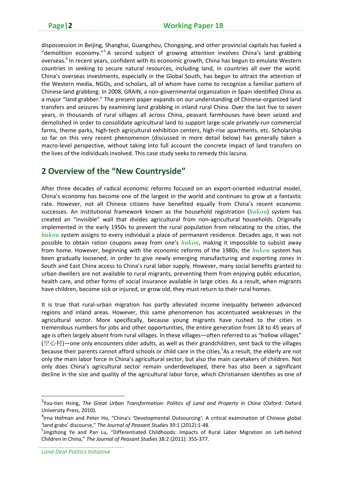dispossession in Beijing, Shanghai, Guangzhou, Chongqing, and other provincial capitals has fueled a "demolition economy."<sup>3</sup> A second subject of growing attention involves China's land grabbing overseas.4 In recent years, confident with its economic growth, China has begun to emulate Western countries in seeking to secure natural resources, including land, in countries all over the world. China's overseas investments, especially in the Global South, has begun to attract the attention of the Western media, NGOs, and scholars, all of whom have come to recognize a familiar pattern of Chinese land grabbing. In 2008, GRAIN, a non‐governmental organization in Spain identified China as a major "land grabber." The present paper expands on our understanding of Chinese-organized land transfers and seizures by examining land grabbing in inland rural China. Over the last five to seven years, in thousands of rural villages all across China, peasant farmhouses have been seized and demolished in order to consolidate agricultural land to support large‐scale privately‐run commercial farms, theme parks, high-tech agricultural exhibition centers, high-rise apartments, etc. Scholarship so far on this very recent phenomenon (discussed in more detail below) has generally taken a macro‐level perspective, without taking into full account the concrete impact of land transfers on the lives of the individuals involved. This case study seeks to remedy this lacuna.

# **2 Overview of the "New Countryside"**

After three decades of radical economic reforms focused on an export-oriented industrial model, China's economy has become one of the largest in the world and continues to grow at a fantastic rate. However, not all Chinese citizens have benefited equally from China's recent economic successes. An institutional framework known as the household registration (*hukou*) system has created an "invisible" wall that divides agricultural from non-agricultural households. Originally implemented in the early 1950s to prevent the rural population from relocating to the cities, the *hukou* system assigns to every individual a place of permanent residence. Decades ago, it was not possible to obtain ration coupons away from one's *hukou*, making it impossible to subsist away from home. However, beginning with the economic reforms of the 1980s, the *hukou* system has been gradually loosened, in order to give newly emerging manufacturing and exporting zones in South and East China access to China's rural labor supply. However, many social benefits granted to urban dwellers are not available to rural migrants, preventing them from enjoying public education, health care, and other forms of social insurance available in large cities. As a result, when migrants have children, become sick or injured, or grow old, they must return to their rural homes.

It is true that rural-urban migration has partly alleviated income inequality between advanced regions and inland areas. However, this same phenomenon has accentuated weaknesses in the agricultural sector. More specifically, because young migrants have rushed to the cities in tremendous numbers for jobs and other opportunities, the entire generation from 18 to 45 years of age is often largely absent from rural villages. In these villages—often referred to as "hollow villages" (空心村)—one only encounters older adults, as well as their grandchildren, sent back to the villages because their parents cannot afford schools or child care in the cities.<sup>5</sup>As a result, the elderly are not only the main labor force in China's agricultural sector, but also the main caretakers of children. Not only does China's agricultural sector remain underdeveloped, there has also been a significant decline in the size and quality of the agricultural labor force, which Christiansen identifies as one of

<sup>3</sup> You‐tien Hsing, *The Great Urban Transformation: Politics of Land and Property in China* (Oxford: Oxford University Press, 2010).

<sup>4</sup> Irna Hofman and Peter Ho, "China's 'Developmental Outsourcing': A critical examination of Chinese global 'land grabs' discourse," *The Journal of Peasant Studies* 39:1 (2012):1‐48. <sup>5</sup>

<sup>5</sup>Jingzhong Ye and Pan Lu, "Differentiated Childhoods: Impacts of Rural Labor Migration on Left-behind Children in China," *The Journal of Peasant Studies* 38:2 (2011): 355‐377.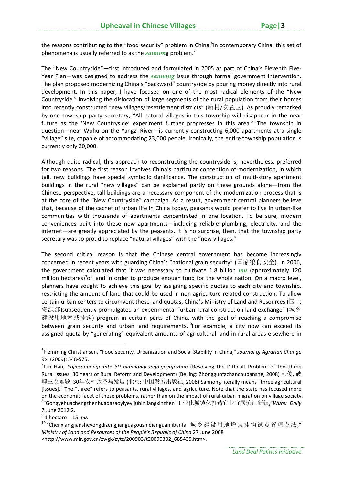the reasons contributing to the "food security" problem in China. <sup>6</sup>In contemporary China, this set of phenomena is usually referred to as the *sannon*g problem.<sup>7</sup>

The "New Countryside"—first introduced and formulated in 2005 as part of China's Eleventh Five‐ Year Plan—was designed to address the *sannong* issue through formal government intervention. The plan proposed modernizing China's "backward" countryside by pouring money directly into rural development. In this paper, I have focused on one of the most radical elements of the "New Countryside," involving the dislocation of large segments of the rural population from their homes into recently constructed "new villages/resettlement districts" (新村/安置区). As proudly remarked by one township party secretary, "All natural villages in this township will disappear in the near future as the 'New Countryside' experiment further progresses in this area."<sup>8</sup> The township in question—near Wuhu on the Yangzi River—is currently constructing 6,000 apartments at a single "village" site, capable of accommodating 23,000 people. Ironically, the entire township population is currently only 20,000.

Although quite radical, this approach to reconstructing the countryside is, nevertheless, preferred for two reasons. The first reason involves China's particular conception of modernization, in which tall, new buildings have special symbolic significance. The construction of multi‐story apartment buildings in the rural "new villages" can be explained partly on these grounds alone—from the Chinese perspective, tall buildings are a necessary component of the modernization process that is at the core of the "New Countryside" campaign. As a result, government central planners believe that, because of the cachet of urban life in China today, peasants would prefer to live in urban‐like communities with thousands of apartments concentrated in one location. To be sure, modern conveniences built into these new apartments—including reliable plumbing, electricity, and the internet—are greatly appreciated by the peasants. It is no surprise, then, that the township party secretary was so proud to replace "natural villages" with the "new villages."

The second critical reason is that the Chinese central government has become increasingly concerned in recent years with guarding China's "national grain security" (国家粮食安全). In 2006, the government calculated that it was necessary to cultivate 1.8 billion *mu* (approximately 120 million hectares)<sup>9</sup>of land in order to produce enough food for the whole nation. On a macro level, planners have sought to achieve this goal by assigning specific quotas to each city and township, restricting the amount of land that could be used in non-agriculture-related construction. To allow certain urban centers to circumvent these land quotas, China's Ministry of Land and Resources (国土 资源部)subsequently promulgated an experimental "urban-rural construction land exchange" (城乡 建设用地增减挂钩) program in certain parts of China, with the goal of reaching a compromise between grain security and urban land requirements.<sup>10</sup>For example, a city now can exceed its assigned quota by "generating" equivalent amounts of agricultural land in rural areas elsewhere in

<sup>7</sup> June 2012:2. <sup>9</sup> <sup>1</sup> hectare <sup>=</sup> <sup>15</sup> *mu*.

<sup>6</sup> Flemming Christiansen, "Food security, Urbanization and Social Stability in China," *Journal of Agrarian Change* 9:4 (2009): 548‐575.

<sup>7</sup> Jun Han, *Pojiesannongnanti: 30 niannongcungaigeyufazhan* (Resolving the Difficult Problem of the Three Rural Issues: 30 Years of Rural Reform and Development) (Beijing: Zhongguofazhanchubanshe, 2008) 韩俊, 破 解三农难题: 30年农村改革与发展 (北京: 中国发展出版社, 2008).Sannong literally means "three agricultural [issues]." The "three" refers to peasants, rural villages, and agriculture. Note that the state has focused more on the economic facet of these problems, rather than on the impact of rural‐urban migration on village society. 8 "Gongyehuachengzhenhuadazaoyiyeyijubinjiangxinzhen 工业化城镇化打造宜业宜居滨江新镇,"*Wuhu Daily*

<sup>&</sup>lt;sup>10</sup> "Chenxiangjiansheyongdizengjianguagoushidianguanlibanfa 城乡建设用地增减挂钩试点管理办法," *Ministry of Land and Resources of the People's Republic of China* 27 June 2008 <http://www.mlr.gov.cn/zwgk/zytz/200903/t20090302\_685435.htm>.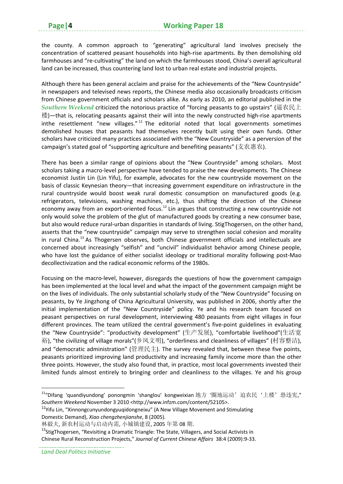the county. A common approach to "generating" agricultural land involves precisely the concentration of scattered peasant households into high-rise apartments. By then demolishing old farmhouses and "re‐cultivating" the land on which the farmhouses stood, China's overall agricultural land can be increased, thus countering land lost to urban real estate and industrial projects.

Although there has been general acclaim and praise for the achievements of the "New Countryside" in newspapers and televised news reports, the Chinese media also occasionally broadcasts criticism from Chinese government officials and scholars alike. As early as 2010, an editorial published in the *Southern Weekend* criticized the notorious practice of "forcing peasants to go upstairs" (逼农民上 楼)—that is, relocating peasants against their will into the newly constructed high‐rise apartments inthe resettlement "new villages." $11$  The editorial noted that local governments sometimes demolished houses that peasants had themselves recently built using their own funds. Other scholars have criticized many practices associated with the "New Countryside" as a perversion of the campaign's stated goal of "supporting agriculture and benefiting peasants" (支农惠农).

There has been a similar range of opinions about the "New Countryside" among scholars. Most scholars taking a macro‐level perspective have tended to praise the new developments. The Chinese economist Justin Lin (Lin Yifu), for example, advocates for the new countryside movement on the basis of classic Keynesian theory—that increasing government expenditure on infrastructure in the rural countryside would boost weak rural domestic consumption on manufactured goods (e.g. refrigerators, televisions, washing machines, etc.), thus shifting the direction of the Chinese economy away from an export-oriented focus.<sup>12</sup> Lin argues that constructing a new countryside not only would solve the problem of the glut of manufactured goods by creating a new consumer base, but also would reduce rural-urban disparities in standards of living. StigThogersen, on the other hand, asserts that the "new countryside" campaign may serve to strengthen social cohesion and morality in rural China.<sup>13</sup> As Thogersen observes, both Chinese government officials and intellectuals are concerned about increasingly "selfish" and "uncivil" individualist behavior among Chinese people, who have lost the guidance of either socialist ideology or traditional morality following post-Mao decollectivization and the radical economic reforms of the 1980s.

Focusing on the macro-level, however, disregards the questions of how the government campaign has been implemented at the local level and what the impact of the government campaign might be on the lives of individuals. The only substantial scholarly study of the "New Countryside" focusing on peasants, by Ye Jingzhong of China Agricultural University, was published in 2006, shortly after the initial implementation of the "New Countryside" policy. Ye and his research team focused on peasant perspectives on rural development, interviewing 480 peasants from eight villages in four different provinces. The team utilized the central government's five-point guidelines in evaluating the "New Countryside": "productivity development" (生产发展), "comfortable livelihood"(生活宽 裕), "the civilizing of village morals"(乡风文明), "orderliness and cleanliness of villages" (村容整洁), and "democratic administration" (管理民主). The survey revealed that, between these five points, peasants prioritized improving land productivity and increasing family income more than the other three points. However, the study also found that, in practice, most local governments invested their limited funds almost entirely to bringing order and cleanliness to the villages. Ye and his group

<sup>12</sup>Yifu Lin, "Xinnongcunyundongyuqidongneixu" (A New Village Movement and Stimulating Domestic Demand), *Xiao chengzhenjianshe*, 8 (2005).

*Land Deal Politics Initiative*

<sup>&</sup>lt;sup>11</sup>"Difang 'quandiyundong' ponongmin 'shanglou' kongweixian 地方 '圈地运动' 迫农民 '上楼' 恐违宪," *Southern Weekend* November 3 2010 <http://www.infzm.com/content/52105>.

林毅夫, 新农村运动与启动内需, 小城镇建设, 2005 年第 08 期.

<sup>&</sup>lt;sup>13</sup>StigThogersen, "Revisiting a Dramatic Triangle: The State, Villagers, and Social Activists in Chinese Rural Reconstruction Projects," *Journal of Current Chinese Affairs* 38:4 (2009):9‐33.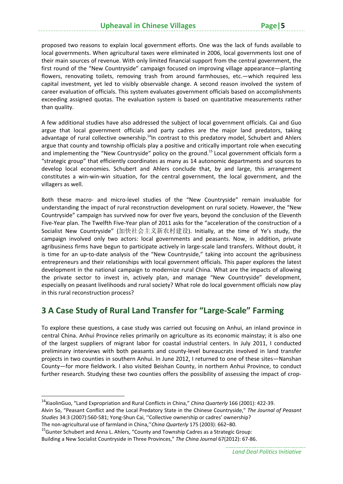proposed two reasons to explain local government efforts. One was the lack of funds available to local governments. When agricultural taxes were eliminated in 2006, local governments lost one of their main sources of revenue. With only limited financial support from the central government, the first round of the "New Countryside" campaign focused on improving village appearance—planting flowers, renovating toilets, removing trash from around farmhouses, etc.—which required less capital investment, yet led to visibly observable change. A second reason involved the system of career evaluation of officials. This system evaluates government officials based on accomplishments exceeding assigned quotas. The evaluation system is based on quantitative measurements rather than quality.

A few additional studies have also addressed the subject of local government officials. Cai and Guo argue that local government officials and party cadres are the major land predators, taking advantage of rural collective ownership.<sup>14</sup>In contrast to this predatory model, Schubert and Ahlers argue that county and township officials play a positive and critically important role when executing and implementing the "New Countryside" policy on the ground.<sup>15</sup> Local government officials form a "strategic group" that efficiently coordinates as many as 14 autonomic departments and sources to develop local economies. Schubert and Ahlers conclude that, by and large, this arrangement constitutes a win‐win‐win situation, for the central government, the local government, and the villagers as well.

Both these macro- and micro-level studies of the "New Countryside" remain invaluable for understanding the impact of rural reconstruction development on rural society. However, the "New Countryside" campaign has survived now for over five years, beyond the conclusion of the Eleventh Five‐Year plan. The Twelfth Five‐Year plan of 2011 asks for the "acceleration of the construction of a Socialist New Countryside" (加快社会主义新农村建设). Initially, at the time of Ye's study, the campaign involved only two actors: local governments and peasants. Now, in addition, private agribusiness firms have begun to participate actively in large‐scale land transfers. Without doubt, it is time for an up-to-date analysis of the "New Countryside," taking into account the agribusiness entrepreneurs and their relationships with local government officials. This paper explores the latest development in the national campaign to modernize rural China. What are the impacts of allowing the private sector to invest in, actively plan, and manage "New Countryside" development, especially on peasant livelihoods and rural society? What role do local government officials now play in this rural reconstruction process?

# **3 A Case Study of Rural Land Transfer for "Large‐Scale" Farming**

To explore these questions, a case study was carried out focusing on Anhui, an inland province in central China. Anhui Province relies primarily on agriculture as its economic mainstay; it is also one of the largest suppliers of migrant labor for coastal industrial centers. In July 2011, I conducted preliminary interviews with both peasants and county‐level bureaucrats involved in land transfer projects in two counties in southern Anhui. In June 2012, I returned to one of these sites—Nanshan County—for more fieldwork. I also visited Beishan County, in northern Anhui Province, to conduct further research. Studying these two counties offers the possibility of assessing the impact of crop-

<sup>14</sup>XiaolinGuo, "Land Expropriation and Rural Conflicts in China," *China Quarterly* 166 (2001): 422‐39.

Alvin So, "Peasant Conflict and the Local Predatory State in the Chinese Countryside," *The Journal of Peasant Studies* 34:3 (2007):560‐581; Yong‐Shun Cai, ''Collective ownership or cadres' ownership?

The non‐agricultural use of farmland in China,''*China Quarterly* 175 (2003): 662–80.

<sup>&</sup>lt;sup>15</sup>Gunter Schubert and Anna L. Ahlers, "County and Township Cadres as a Strategic Group: Building a New Socialist Countryside in Three Provinces," *The China Journal* 67(2012): 67‐86.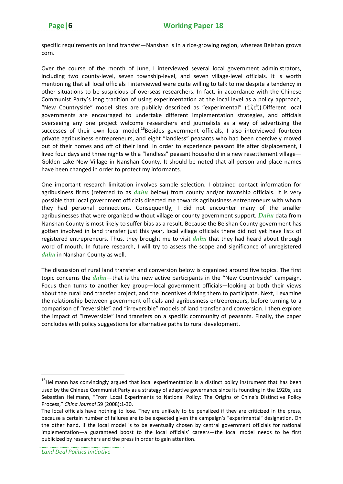specific requirements on land transfer—Nanshan is in a rice-growing region, whereas Beishan grows corn.

Over the course of the month of June, I interviewed several local government administrators, including two county-level, seven township-level, and seven village-level officials. It is worth mentioning that all local officials I interviewed were quite willing to talk to me despite a tendency in other situations to be suspicious of overseas researchers. In fact, in accordance with the Chinese Communist Party's long tradition of using experimentation at the local level as a policy approach, "New Countryside" model sites are publicly described as "experimental" (试点).Different local governments are encouraged to undertake different implementation strategies, and officials overseeing any one project welcome researchers and journalists as a way of advertising the successes of their own local model.<sup>16</sup>Besides government officials, I also interviewed fourteen private agribusiness entrepreneurs, and eight "landless" peasants who had been coercively moved out of their homes and off of their land. In order to experience peasant life after displacement, I lived four days and three nights with a "landless" peasant household in a new resettlement village— Golden Lake New Village in Nanshan County. It should be noted that all person and place names have been changed in order to protect my informants.

One important research limitation involves sample selection. I obtained contact information for agribusiness firms (referred to as *dahu* below) from county and/or township officials. It is very possible that local government officials directed me towards agribusiness entrepreneurs with whom they had personal connections. Consequently, I did not encounter many of the smaller agribusinesses that were organized without village or county government support. *Dahu* data from Nanshan County is most likely to suffer bias as a result. Because the Beishan County government has gotten involved in land transfer just this year, local village officials there did not yet have lists of registered entrepreneurs. Thus, they brought me to visit *dahu* that they had heard about through word of mouth. In future research, I will try to assess the scope and significance of unregistered *dahu* in Nanshan County as well.

The discussion of rural land transfer and conversion below is organized around five topics. The first topic concerns the *dahu*—that is the new active participants in the "New Countryside" campaign. Focus then turns to another key group—local government officials—looking at both their views about the rural land transfer project, and the incentives driving them to participate. Next, I examine the relationship between government officials and agribusiness entrepreneurs, before turning to a comparison of "reversible" and "irreversible" models of land transfer and conversion. I then explore the impact of "irreversible" land transfers on a specific community of peasants. Finally, the paper concludes with policy suggestions for alternative paths to rural development.

 $16$ Heilmann has convincingly argued that local experimentation is a distinct policy instrument that has been used by the Chinese Communist Party as a strategy of adaptive governance since its founding in the 1920s; see Sebastian Heilmann, "From Local Experiments to National Policy: The Origins of China's Distinctive Policy Process," *China Journal* 59 (2008):1‐30.

The local officials have nothing to lose. They are unlikely to be penalized if they are criticized in the press, because a certain number of failures are to be expected given the campaign's "experimental" designation. On the other hand, if the local model is to be eventually chosen by central government officials for national implementation—a guaranteed boost to the local officials' careers—the local model needs to be first publicized by researchers and the press in order to gain attention.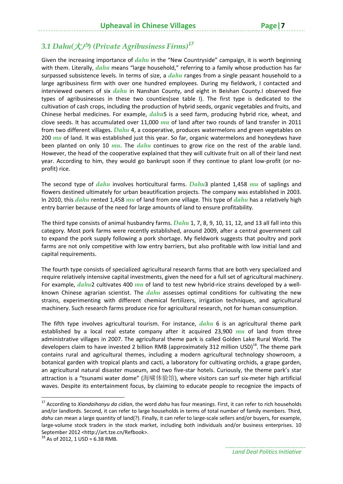# *3.1 Dahu(*大户*) (Private Agribusiness Firms)<sup>17</sup>*

Given the increasing importance of *dahu* in the "New Countryside" campaign, it is worth beginning with them. Literally, *dahu* means "large household," referring to a family whose production has far surpassed subsistence levels. In terms of size, a *dahu* ranges from a single peasant household to a large agribusiness firm with over one hundred employees. During my fieldwork, I contacted and interviewed owners of six *dahu* in Nanshan County, and eight in Beishan County.I observed five types of agribusinesses in these two counties(see table I). The first type is dedicated to the cultivation of cash crops, including the production of hybrid seeds, organic vegetables and fruits, and Chinese herbal medicines. For example, *dahu*5 is a seed farm, producing hybrid rice, wheat, and clove seeds. It has accumulated over 11,000 *mu* of land after two rounds of land transfer in 2011 from two different villages. *Dahu* 4, a cooperative, produces watermelons and green vegetables on 200 *mu* of land. It was established just this year. So far, organic watermelons and honeydews have been planted on only 10 *mu*. The *dahu* continues to grow rice on the rest of the arable land. However, the head of the cooperative explained that they will cultivate fruit on all of their land next year. According to him, they would go bankrupt soon if they continue to plant low-profit (or noprofit) rice.

The second type of *dahu* involves horticultural farms. *Dahu*3 planted 1,458 *mu* of saplings and flowers destined ultimately for urban beautification projects. The company was established in 2003. In 2010, this *dahu* rented 1,458 *mu* of land from one village. This type of *dahu* has a relatively high entry barrier because of the need for large amounts of land to ensure profitability.

The third type consists of animal husbandry farms. *Dahu* 1, 7, 8, 9, 10, 11, 12, and 13 all fall into this category. Most pork farms were recently established, around 2009, after a central government call to expand the pork supply following a pork shortage. My fieldwork suggests that poultry and pork farms are not only competitive with low entry barriers, but also profitable with low initial land and capital requirements.

The fourth type consists of specialized agricultural research farms that are both very specialized and require relatively intensive capital investments, given the need for a full set of agricultural machinery. For example, *dahu*2 cultivates 400 *mu* of land to test new hybrid-rice strains developed by a wellknown Chinese agrarian scientist. The *dahu* assesses optimal conditions for cultivating the new strains, experimenting with different chemical fertilizers, irrigation techniques, and agricultural machinery. Such research farms produce rice for agricultural research, not for human consumption.

The fifth type involves agricultural tourism. For instance, *dahu* 6 is an agricultural theme park established by a local real estate company after it acquired 23,900 *mu* of land from three administrative villages in 2007. The agricultural theme park is called Golden Lake Rural World. The developers claim to have invested 2 billion RMB (approximately 312 million USD)<sup>18</sup>. The theme park contains rural and agricultural themes, including a modern agricultural technology showroom, a botanical garden with tropical plants and cacti, a laboratory for cultivating orchids, a grape garden, an agricultural natural disaster museum, and two five-star hotels. Curiously, the theme park's star attraction is a "tsunami water dome" (海啸体验馆), where visitors can surf six‐meter high artificial waves. Despite its entertainment focus, by claiming to educate people to recognize the impacts of

<sup>17</sup> According to *Xiandaihanyu da cidian*, the word *dahu* has four meanings. First, it can refer to rich households and/or landlords. Second, it can refer to large households in terms of total number of family members. Third, dahu can mean a large quantity of land(?). Finally, it can refer to large-scale sellers and/or buyers, for example, large-volume stock traders in the stock market, including both individuals and/or business enterprises. 10 September 2012 <http://art.tze.cn/Refbook>.<br><sup>18</sup> As of 2012, 1 USD = 6.38 RMB.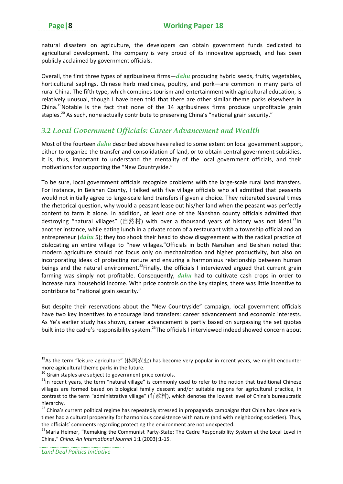natural disasters on agriculture, the developers can obtain government funds dedicated to agricultural development. The company is very proud of its innovative approach, and has been publicly acclaimed by government officials.

Overall, the first three types of agribusiness firms—*dahu* producing hybrid seeds, fruits, vegetables, horticultural saplings, Chinese herb medicines, poultry, and pork—are common in many parts of rural China. The fifth type, which combines tourism and entertainment with agricultural education, is relatively unusual, though I have been told that there are other similar theme parks elsewhere in China.<sup>19</sup>Notable is the fact that none of the 14 agribusiness firms produce unprofitable grain staples.<sup>20</sup> As such, none actually contribute to preserving China's "national grain security."

#### *3.2 Local Government Officials: Career Advancement and Wealth*

Most of the fourteen *dahu* described above have relied to some extent on local government support, either to organize the transfer and consolidation of land, or to obtain central government subsidies. It is, thus, important to understand the mentality of the local government officials, and their motivations for supporting the "New Countryside."

To be sure, local government officials recognize problems with the large-scale rural land transfers. For instance, in Beishan County, I talked with five village officials who all admitted that peasants would not initially agree to large-scale land transfers if given a choice. They reiterated several times the rhetorical question, why would a peasant lease out his/her land when the peasant was perfectly content to farm it alone. In addition, at least one of the Nanshan county officials admitted that destroying "natural villages" (自然村) with over a thousand years of history was not ideal.<sup>21</sup>In another instance, while eating lunch in a private room of a restaurant with a township official and an entrepreneur (*dahu* 5); they too shook their head to show disagreement with the radical practice of dislocating an entire village to "new villages."Officials in both Nanshan and Beishan noted that modern agriculture should not focus only on mechanization and higher productivity, but also on incorporating ideas of protecting nature and ensuring a harmonious relationship between human beings and the natural environment.<sup>22</sup>Finally, the officials I interviewed argued that current grain farming was simply not profitable. Consequently, *dahu* had to cultivate cash crops in order to increase rural household income. With price controls on the key staples, there was little incentive to contribute to "national grain security."

But despite their reservations about the "New Countryside" campaign, local government officials have two key incentives to encourage land transfers: career advancement and economic interests. As Ye's earlier study has shown, career advancement is partly based on surpassing the set quotas built into the cadre's responsibility system.<sup>23</sup>The officials I interviewed indeed showed concern about

<sup>&</sup>lt;sup>19</sup>As the term "leisure agriculture" (休闲农业) has become very popular in recent years, we might encounter more agricultural theme parks in the future.<br><sup>20</sup> Grain staples are subject to government price controls.<br><sup>21</sup>In recent years, the term "natural village" is commonly used to refer to the notion that traditional Chinese

villages are formed based on biological family descent and/or suitable regions for agricultural practice, in contrast to the term "administrative village" (行政村), which denotes the lowest level of China's bureaucratic hierarchy.

<sup>&</sup>lt;sup>22</sup> China's current political regime has repeatedly stressed in propaganda campaigns that China has since early times had a cultural propensity for harmonious coexistence with nature (and with neighboring societies). Thus, the officials' comments regarding protecting the environment are not unexpected.

<sup>&</sup>lt;sup>23</sup>Maria Heimer, "Remaking the Communist Party-State: The Cadre Responsibility System at the Local Level in China," *China: An International Journal* 1:1 (2003):1‐15.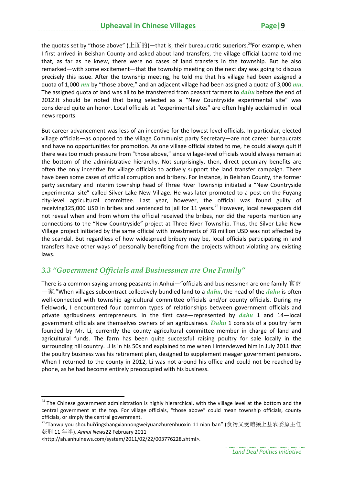the quotas set by "those above" (上面的)—that is, their bureaucratic superiors.<sup>24</sup>For example, when I first arrived in Beishan County and asked about land transfers, the village official Laoma told me that, as far as he knew, there were no cases of land transfers in the township. But he also remarked—with some excitement—that the township meeting on the next day was going to discuss precisely this issue. After the township meeting, he told me that his village had been assigned a quota of 1,000 *mu* by "those above," and an adjacent village had been assigned a quota of 3,000 *mu*. The assigned quota of land was all to be transferred from peasant farmers to *dahu* before the end of 2012.It should be noted that being selected as a "New Countryside experimental site" was considered quite an honor. Local officials at "experimental sites" are often highly acclaimed in local news reports.

But career advancement was less of an incentive for the lowest-level officials. In particular, elected village officials—as opposed to the village Communist party Secretary—are not career bureaucrats and have no opportunities for promotion. As one village official stated to me, he could always quit if there was too much pressure from "those above," since village‐level officials would always remain at the bottom of the administrative hierarchy. Not surprisingly, then, direct pecuniary benefits are often the only incentive for village officials to actively support the land transfer campaign. There have been some cases of official corruption and bribery. For instance, in Beishan County, the former party secretary and interim township head of Three River Township initiated a "New Countryside experimental site" called Silver Lake New Village. He was later promoted to a post on the Fuyang city-level agricultural committee. Last year, however, the official was found guilty of receiving125,000 USD in bribes and sentenced to jail for 11 years.<sup>25</sup> However, local newspapers did not reveal when and from whom the official received the bribes, nor did the reports mention any connections to the "New Countryside" project at Three River Township. Thus, the Silver Lake New Village project initiated by the same official with investments of 78 million USD was not affected by the scandal. But regardless of how widespread bribery may be, local officials participating in land transfers have other ways of personally benefiting from the projects without violating any existing laws.

#### *3.3 "Government Officials and Businessmen are One Family"*

There is a common saying among peasants in Anhui—"officials and businessmen are one family 官商 一家."When villages subcontract collectively‐bundled land to a *dahu*, the head of the *dahu* is often well-connected with township agricultural committee officials and/or county officials. During my fieldwork, I encountered four common types of relationships between government officials and private agribusiness entrepreneurs. In the first case—represented by *dahu* 1 and 14—local government officials are themselves owners of an agribusiness. *Dahu* 1 consists of a poultry farm founded by Mr. Li, currently the county agricultural committee member in charge of land and agricultural funds. The farm has been quite successful raising poultry for sale locally in the surrounding hill country. Li is in his 50s and explained to me when I interviewed him in July 2011 that the poultry business was his retirement plan, designed to supplement meager government pensions. When I returned to the county in 2012, Li was not around his office and could not be reached by phone, as he had become entirely preoccupied with his business.

<sup>&</sup>lt;sup>24</sup> The Chinese government administration is highly hierarchical, with the village level at the bottom and the central government at the top. For village officials, "those above" could mean township officials, county officials, or simply the central government.

<sup>&</sup>lt;sup>25</sup>"Tanwu you shouhuiYingshangxiannongweiyuanzhurenhuoxin 11 nian ban" (贪污又受贿颍上县农委原主任 获刑 11 年半). *Anhui News*22 February 2011

<sup>&</sup>lt;http://ah.anhuinews.com/system/2011/02/22/003776228.shtml>.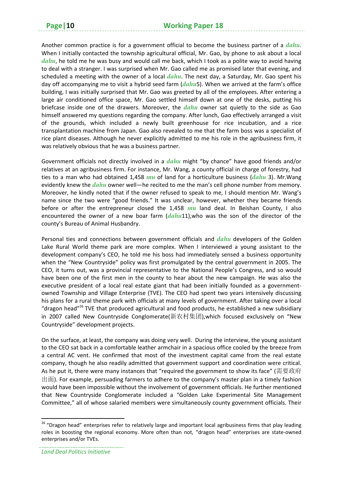Another common practice is for a government official to become the business partner of a *dahu*. When I initially contacted the township agricultural official, Mr. Gao, by phone to ask about a local *dahu*, he told me he was busy and would call me back, which I took as a polite way to avoid having to deal with a stranger. I was surprised when Mr. Gao called me as promised later that evening, and scheduled a meeting with the owner of a local *dahu*. The next day, a Saturday, Mr. Gao spent his day off accompanying me to visit a hybrid seed farm (*dahu*5). When we arrived at the farm's office building, I was initially surprised that Mr. Gao was greeted by all of the employees. After entering a large air conditioned office space, Mr. Gao settled himself down at one of the desks, putting his briefcase inside one of the drawers. Moreover, the *dahu* owner sat quietly to the side as Gao himself answered my questions regarding the company. After lunch, Gao effectively arranged a visit of the grounds, which included a newly built greenhouse for rice incubation, and a rice transplantation machine from Japan. Gao also revealed to me that the farm boss was a specialist of rice plant diseases. Although he never explicitly admitted to me his role in the agribusiness firm, it was relatively obvious that he was a business partner.

Government officials not directly involved in a *dahu* might "by chance" have good friends and/or relatives at an agribusiness firm. For instance, Mr. Wang, a county official in charge of forestry, had ties to a man who had obtained 1,458 *mu* of land for a horticulture business (*dahu* 3). Mr.Wang evidently knew the *dahu* owner well—he recited to me the man's cell phone number from memory. Moreover, he kindly noted that if the owner refused to speak to me, I should mention Mr. Wang's name since the two were "good friends." It was unclear, however, whether they became friends before or after the entrepreneur closed the 1,458 *mu* land deal. In Beishan County, I also encountered the owner of a new boar farm (*dahu*11),who was the son of the director of the county's Bureau of Animal Husbandry.

Personal ties and connections between government officials and *dahu* developers of the Golden Lake Rural World theme park are more complex. When I interviewed a young assistant to the development company's CEO, he told me his boss had immediately sensed a business opportunity when the "New Countryside" policy was first promulgated by the central government in 2005. The CEO, it turns out, was a provincial representative to the National People's Congress, and so would have been one of the first men in the county to hear about the new campaign. He was also the executive president of a local real estate giant that had been initially founded as a governmentowned Township and Village Enterprise (TVE). The CEO had spent two years intensively discussing his plans for a rural theme park with officials at many levels of government. After taking over a local "dragon head"<sup>26</sup> TVE that produced agricultural and food products, he established a new subsidiary in 2007 called New Countryside Conglomerate(新农村集团),which focused exclusively on "New Countryside" development projects.

On the surface, at least, the company was doing very well. During the interview, the young assistant to the CEO sat back in a comfortable leather armchair in a spacious office cooled by the breeze from a central AC vent. He confirmed that most of the investment capital came from the real estate company, though he also readily admitted that government support and coordination were critical. As he put it, there were many instances that "required the government to show its face" (需要政府 出面). For example, persuading farmers to adhere to the company's master plan in a timely fashion would have been impossible without the involvement of government officials. He further mentioned that New Countryside Conglomerate included a "Golden Lake Experimental Site Management Committee," all of whose salaried members were simultaneously county government officials. Their

<sup>&</sup>lt;sup>26</sup> "Dragon head" enterprises refer to relatively large and important local agribusiness firms that play leading roles in boosting the regional economy. More often than not, "dragon head" enterprises are state‐owned enterprises and/or TVEs.

*Land Deal Politics Initiative*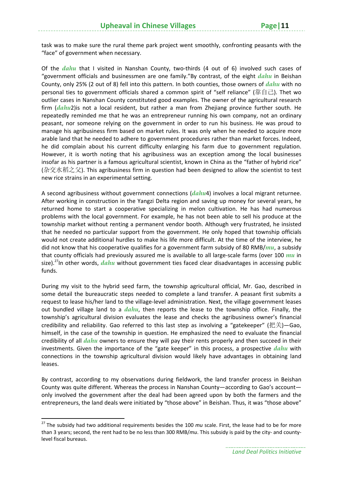task was to make sure the rural theme park project went smoothly, confronting peasants with the "face" of government when necessary.

Of the *dahu* that I visited in Nanshan County, two-thirds (4 out of 6) involved such cases of "government officials and businessmen are one family."By contrast, of the eight *dahu* in Beishan County, only 25% (2 out of 8) fell into this pattern. In both counties, those owners of *dahu* with no personal ties to government officials shared a common spirit of "self reliance" (靠自己). Thet wo outlier cases in Nanshan County constituted good examples. The owner of the agricultural research firm (*dahu*2)is not a local resident, but rather a man from Zhejiang province further south. He repeatedly reminded me that he was an entrepreneur running his own company, not an ordinary peasant, nor someone relying on the government in order to run his business. He was proud to manage his agribusiness firm based on market rules. It was only when he needed to acquire more arable land that he needed to adhere to government procedures rather than market forces. Indeed, he did complain about his current difficulty enlarging his farm due to government regulation. However, it is worth noting that his agribusiness was an exception among the local businesses insofar as his partner is a famous agricultural scientist, known in China as the "father of hybrid rice" (杂交水稻之父). This agribusiness firm in question had been designed to allow the scientist to test new rice strains in an experimental setting.

A second agribusiness without government connections (*dahu*4) involves a local migrant returnee. After working in construction in the Yangzi Delta region and saving up money for several years, he returned home to start a cooperative specializing in melon cultivation. He has had numerous problems with the local government. For example, he has not been able to sell his produce at the township market without renting a permanent vendor booth. Although very frustrated, he insisted that he needed no particular support from the government. He only hoped that township officials would not create additional hurdles to make his life more difficult. At the time of the interview, he did not know that his cooperative qualifies for a government farm subsidy of 80 RMB/*mu*, a subsidy that county officials had previously assured me is available to all large-scale farms (over 100 *mu* in size).27In other words, *dahu* without government ties faced clear disadvantages in accessing public funds.

During my visit to the hybrid seed farm, the township agricultural official, Mr. Gao, described in some detail the bureaucratic steps needed to complete a land transfer. A peasant first submits a request to lease his/her land to the village‐level administration. Next, the village government leases out bundled village land to a *dahu*, then reports the lease to the township office. Finally, the township's agricultural division evaluates the lease and checks the agribusiness owner's financial credibility and reliability. Gao referred to this last step as involving a "gatekeeper" (把关)—Gao, himself, in the case of the township in question. He emphasized the need to evaluate the financial credibility of all *dahu* owners to ensure they will pay their rents properly and then succeed in their investments. Given the importance of the "gate keeper" in this process, a prospective *dahu* with connections in the township agricultural division would likely have advantages in obtaining land leases.

By contrast, according to my observations during fieldwork, the land transfer process in Beishan County was quite different. Whereas the process in Nanshan County—according to Gao's account only involved the government after the deal had been agreed upon by both the farmers and the entrepreneurs, the land deals were initiated by "those above" in Beishan. Thus, it was "those above"

<sup>&</sup>lt;sup>27</sup> The subsidy had two additional requirements besides the 100 *mu* scale. First, the lease had to be for more than 3 years; second, the rent had to be no less than 300 RMB/*mu*. This subsidy is paid by the city- and countylevel fiscal bureaus.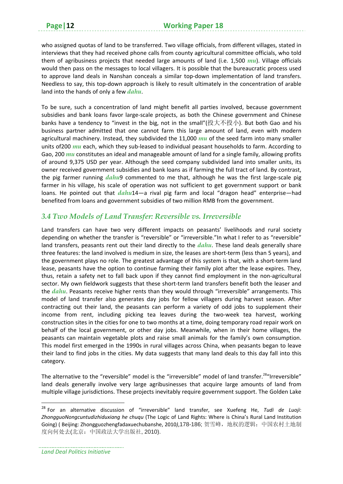who assigned quotas of land to be transferred. Two village officials, from different villages, stated in interviews that they had received phone calls from county agricultural committee officials, who told them of agribusiness projects that needed large amounts of land (i.e. 1,500 *mu*). Village officials would then pass on the messages to local villagers. It is possible that the bureaucratic process used to approve land deals in Nanshan conceals a similar top-down implementation of land transfers. Needless to say, this top-down approach is likely to result ultimately in the concentration of arable land into the hands of only a few *dahu*.

To be sure, such a concentration of land might benefit all parties involved, because government subsidies and bank loans favor large‐scale projects, as both the Chinese government and Chinese banks have a tendency to "invest in the big, not in the small"(投大不投小). But both Gao and his business partner admitted that one cannot farm this large amount of land, even with modern agricultural machinery. Instead, they subdivided the 11,000 *mu* of the seed farm into many smaller units of 200 *mu* each, which they sub-leased to individual peasant households to farm. According to Gao, 200 *mu* constitutes an ideal and manageable amount of land for a single family, allowing profits of around 9,375 USD per year. Although the seed company subdivided land into smaller units, its owner received government subsidies and bank loans as if farming the full tract of land. By contrast, the pig farmer running *dahu*9 commented to me that, although he was the first large‐scale pig farmer in his village, his scale of operation was not sufficient to get government support or bank loans. He pointed out that *dahu*14—a rival pig farm and local "dragon head" enterprise—had benefited from loans and government subsidies of two million RMB from the government.

#### *3.4 Two Models of Land Transfer: Reversible vs. Irreversible*

Land transfers can have two very different impacts on peasants' livelihoods and rural society depending on whether the transfer is "reversible" or "irreversible."In what I refer to as "reversible" land transfers, peasants rent out their land directly to the *dahu*. These land deals generally share three features: the land involved is medium in size, the leases are short-term (less than 5 years), and the government plays no role. The greatest advantage of this system is that, with a short-term land lease, peasants have the option to continue farming their family plot after the lease expires. They, thus, retain a safety net to fall back upon if they cannot find employment in the non‐agricultural sector. My own fieldwork suggests that these short-term land transfers benefit both the leaser and the *dahu*. Peasants receive higher rents than they would through "irreversible" arrangements. This model of land transfer also generates day jobs for fellow villagers during harvest season. After contracting out their land, the peasants can perform a variety of odd jobs to supplement their income from rent, including picking tea leaves during the two-week tea harvest, working construction sites in the cities for one to two months at a time, doing temporary road repair work on behalf of the local government, or other day jobs. Meanwhile, when in their home villages, the peasants can maintain vegetable plots and raise small animals for the family's own consumption. This model first emerged in the 1990s in rural villages across China, when peasants began to leave their land to find jobs in the cities. My data suggests that many land deals to this day fall into this category.

The alternative to the "reversible" model is the "irreversible" model of land transfer.<sup>28</sup>"Irreversible" land deals generally involve very large agribusinesses that acquire large amounts of land from multiple village jurisdictions. These projects inevitably require government support. The Golden Lake

<sup>28</sup> For an alternative discussion of "irreversible" land transfer, see Xuefeng He, *Tudi de Luoji*: *ZhongguoNongcuntudizhiduxiang he chuqu* (The Logic of Land Rights: Where is China's Rural Land Institution Going) ( Beijing: Zhongguozhengfadaxuechubanshe, 2010*)*,178-186; 贺雪峰,地权的逻辑:中国农村土地制 度向何处去(北京:中国政法大学出版社, 2010).

*Land Deal Politics Initiative*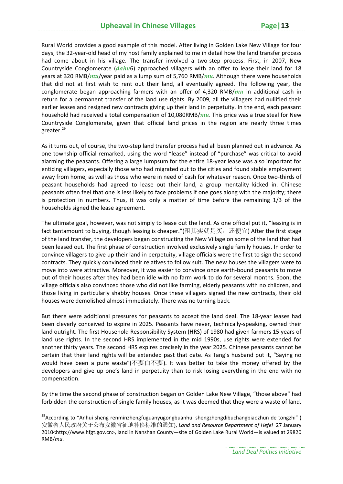#### **Upheaval in Chinese Villages Page|13**

Rural World provides a good example of this model. After living in Golden Lake New Village for four days, the 32‐year‐old head of my host family explained to me in detail how the land transfer process had come about in his village. The transfer involved a two-step process. First, in 2007, New Countryside Conglomerate (*dahu*6) approached villagers with an offer to lease their land for 18 years at 320 RMB/*mu*/year paid as a lump sum of 5,760 RMB/*mu*. Although there were households that did not at first wish to rent out their land, all eventually agreed. The following year, the conglomerate began approaching farmers with an offer of 4,320 RMB/*mu* in additional cash in return for a permanent transfer of the land use rights. By 2009, all the villagers had nullified their earlier leases and resigned new contracts giving up their land in perpetuity. In the end, each peasant household had received a total compensation of 10,080RMB/*mu*. This price was a true steal for New Countryside Conglomerate, given that official land prices in the region are nearly three times greater.<sup>29</sup>

As it turns out, of course, the two‐step land transfer process had all been planned out in advance. As one township official remarked, using the word "lease" instead of "purchase" was critical to avoid alarming the peasants. Offering a large lumpsum for the entire 18‐year lease was also important for enticing villagers, especially those who had migrated out to the cities and found stable employment away from home, as well as those who were in need of cash for whatever reason. Once two-thirds of peasant households had agreed to lease out their land, a group mentality kicked in. Chinese peasants often feel that one is less likely to face problems if one goes along with the majority; there is protection in numbers. Thus, it was only a matter of time before the remaining 1/3 of the households signed the lease agreement.

The ultimate goal, however, was not simply to lease out the land. As one official put it, "leasing is in fact tantamount to buying, though leasing is cheaper."(租其实就是买, 还便宜) After the first stage of the land transfer, the developers began constructing the New Village on some of the land that had been leased out. The first phase of construction involved exclusively single family houses. In order to convince villagers to give up their land in perpetuity, village officials were the first to sign the second contracts. They quickly convinced their relatives to follow suit. The new houses the villagers were to move into were attractive. Moreover, it was easier to convince once earth‐bound peasants to move out of their houses after they had been idle with no farm work to do for several months. Soon, the village officials also convinced those who did not like farming, elderly peasants with no children, and those living in particularly shabby houses. Once these villagers signed the new contracts, their old houses were demolished almost immediately. There was no turning back.

But there were additional pressures for peasants to accept the land deal. The 18‐year leases had been cleverly conceived to expire in 2025. Peasants have never, technically-speaking, owned their land outright. The first Household Responsibility System (HRS) of 1980 had given farmers 15 years of land use rights. In the second HRS implemented in the mid 1990s, use rights were extended for another thirty years. The second HRS expires precisely in the year 2025. Chinese peasants cannot be certain that their land rights will be extended past that date. As Tang's husband put it, "Saying no would have been a pure waste"(不要白不要). It was better to take the money offered by the developers and give up one's land in perpetuity than to risk losing everything in the end with no compensation.

By the time the second phase of construction began on Golden Lake New Village, "those above" had forbidden the construction of single family houses, as it was deemed that they were a waste of land.

<sup>&</sup>lt;sup>29</sup>According to "Anhui sheng renminzhengfuguanyugongbuanhui shengzhengdibuchangbiaozhun de tongzhi" ( 安徽省人民政府关于公布安徽省征地补偿标准的通知), *Land and Resource Department of Hefei* 27 January 2010<http://www.hfgt.gov.cn>, land in Nanshan County—site of Golden Lake Rural World—is valued at 29820 RMB/*mu*.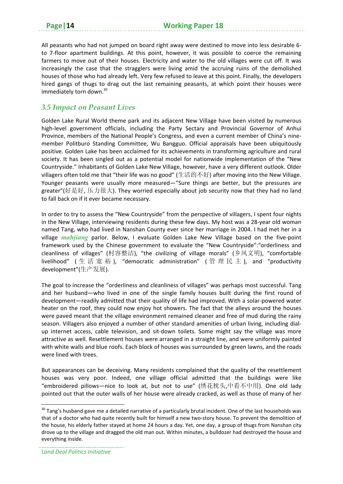All peasants who had not jumped on board right away were destined to move into less desirable 6‐ to 7‐floor apartment buildings. At this point, however, it was possible to coerce the remaining farmers to move out of their houses. Electricity and water to the old villages were cut off. It was increasingly the case that the stragglers were living amid the accruing ruins of the demolished houses of those who had already left. Very few refused to leave at this point. Finally, the developers hired gangs of thugs to drag out the last remaining peasants, at which point their houses were immediately torn down.<sup>30</sup>

#### *3.5 Impact on Peasant Lives*

Golden Lake Rural World theme park and its adjacent New Village have been visited by numerous high-level government officials, including the Party Sectary and Provincial Governor of Anhui Province, members of the National People's Congress, and even a current member of China's nine‐ member Politburo Standing Committee, Wu Bangguo. Official appraisals have been ubiquitously positive. Golden Lake has been acclaimed for its achievements in transforming agriculture and rural society. It has been singled out as a potential model for nationwide implementation of the "New Countryside." Inhabitants of Golden Lake New Village, however, have a very different outlook. Older villagers often told me that "their life was no good" (生活的不好) after moving into the New Village. Younger peasants were usually more measured—"Sure things are better, but the pressures are greater"(好是好, 压力很大). They worried especially about job security now that they had no land to fall back on if it ever became necessary.

In order to try to assess the "New Countryside" from the perspective of villagers, I spent four nights in the New Village, interviewing residents during these few days. My host was a 28‐year old woman named Tang, who had lived in Nanshan County ever since her marriage in 2004. I had met her in a village *mahjiang* parlor. Below, I evaluate Golden Lake New Village based on the five-point framework used by the Chinese government to evaluate the "New Countryside":"orderliness and cleanliness of villages" (村容整洁), "the civilizing of village morals" (乡风文明), "comfortable livelihood" (生活宽裕), "democratic administration" (管理民主), and "productivity development"(生产发展).

The goal to increase the "orderliness and cleanliness of villages" was perhaps most successful. Tang and her husband—who lived in one of the single family houses built during the first round of development—readily admitted that their quality of life had improved. With a solar‐powered water heater on the roof, they could now enjoy hot showers. The fact that the alleys around the houses were paved meant that the village environment remained cleaner and free of mud during the rainy season. Villagers also enjoyed a number of other standard amenities of urban living, including dialup internet access, cable television, and sit‐down toilets. Some might say the village was more attractive as well. Resettlement houses were arranged in a straight line, and were uniformly painted with white walls and blue roofs. Each block of houses was surrounded by green lawns, and the roads were lined with trees.

But appearances can be deceiving. Many residents complained that the quality of the resettlement houses was very poor. Indeed, one village official admitted that the buildings were like "embroidered pillows—nice to look at, but not to use" (绣花枕头,中看不中用). One old lady pointed out that the outer walls of her house were already cracked, as well as those of many of her

<sup>&</sup>lt;sup>30</sup> Tang's husband gave me a detailed narrative of a particularly brutal incident. One of the last households was that of a doctor who had quite recently built for himself a new two-story house. To prevent the demolition of the house, his elderly father stayed at home 24 hours a day. Yet, one day, a group of thugs from Nanshan city drove up to the village and dragged the old man out. Within minutes, a bulldozer had destroyed the house and everything inside.

*Land Deal Politics Initiative*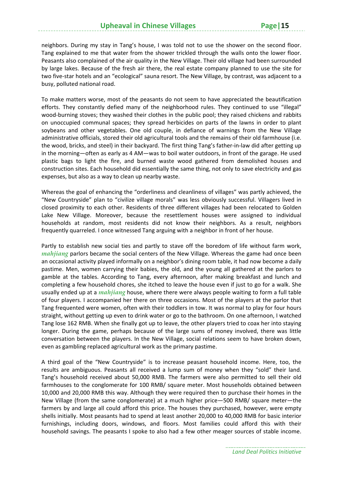neighbors. During my stay in Tang's house, I was told not to use the shower on the second floor. Tang explained to me that water from the shower trickled through the walls onto the lower floor. Peasants also complained of the air quality in the New Village. Their old village had been surrounded by large lakes. Because of the fresh air there, the real estate company planned to use the site for two five‐star hotels and an "ecological" sauna resort. The New Village, by contrast, was adjacent to a busy, polluted national road.

To make matters worse, most of the peasants do not seem to have appreciated the beautification efforts. They constantly defied many of the neighborhood rules. They continued to use "illegal" wood-burning stoves; they washed their clothes in the public pool; they raised chickens and rabbits on unoccupied communal spaces; they spread herbicides on parts of the lawns in order to plant soybeans and other vegetables. One old couple, in defiance of warnings from the New Village administrative officials, stored their old agricultural tools and the remains of their old farmhouse (i.e. the wood, bricks, and steel) in their backyard. The first thing Tang's father-in-law did after getting up in the morning—often as early as 4 AM—was to boil water outdoors, in front of the garage. He used plastic bags to light the fire, and burned waste wood gathered from demolished houses and construction sites. Each household did essentially the same thing, not only to save electricity and gas expenses, but also as a way to clean up nearby waste.

Whereas the goal of enhancing the "orderliness and cleanliness of villages" was partly achieved, the "New Countryside" plan to "civilize village morals" was less obviously successful. Villagers lived in closed proximity to each other. Residents of three different villages had been relocated to Golden Lake New Village. Moreover, because the resettlement houses were assigned to individual households at random, most residents did not know their neighbors. As a result, neighbors frequently quarreled. I once witnessed Tang arguing with a neighbor in front of her house.

Partly to establish new social ties and partly to stave off the boredom of life without farm work, *mahjiang* parlors became the social centers of the New Village. Whereas the game had once been an occasional activity played informally on a neighbor's dining room table, it had now become a daily pastime. Men, women carrying their babies, the old, and the young all gathered at the parlors to gamble at the tables. According to Tang, every afternoon, after making breakfast and lunch and completing a few household chores, she itched to leave the house even if just to go for a walk. She usually ended up at a *mahjiang* house, where there were always people waiting to form a full table of four players. I accompanied her there on three occasions. Most of the players at the parlor that Tang frequented were women, often with their toddlers in tow. It was normal to play for four hours straight, without getting up even to drink water or go to the bathroom. On one afternoon, I watched Tang lose 162 RMB. When she finally got up to leave, the other players tried to coax her into staying longer. During the game, perhaps because of the large sums of money involved, there was little conversation between the players. In the New Village, social relations seem to have broken down, even as gambling replaced agricultural work as the primary pastime.

A third goal of the "New Countryside" is to increase peasant household income. Here, too, the results are ambiguous. Peasants all received a lump sum of money when they "sold" their land. Tang's household received about 50,000 RMB. The farmers were also permitted to sell their old farmhouses to the conglomerate for 100 RMB/ square meter. Most households obtained between 10,000 and 20,000 RMB this way. Although they were required then to purchase their homes in the New Village (from the same conglomerate) at a much higher price—500 RMB/ square meter—the farmers by and large all could afford this price. The houses they purchased, however, were empty shells initially. Most peasants had to spend at least another 20,000 to 40,000 RMB for basic interior furnishings, including doors, windows, and floors. Most families could afford this with their household savings. The peasants I spoke to also had a few other meager sources of stable income.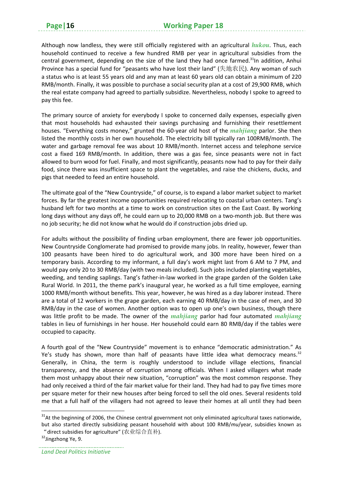Although now landless, they were still officially registered with an agricultural *hukou*. Thus, each household continued to receive a few hundred RMB per year in agricultural subsidies from the central government, depending on the size of the land they had once farmed.<sup>31</sup>In addition, Anhui Province has a special fund for "peasants who have lost their land" (失地农民). Any woman of such a status who is at least 55 years old and any man at least 60 years old can obtain a minimum of 220 RMB/month. Finally, it was possible to purchase a social security plan at a cost of 29,900 RMB, which the real estate company had agreed to partially subsidize. Nevertheless, nobody I spoke to agreed to pay this fee.

The primary source of anxiety for everybody I spoke to concerned daily expenses, especially given that most households had exhausted their savings purchasing and furnishing their resettlement houses. "Everything costs money," grunted the 60‐year old host of the *mahjiang* parlor. She then listed the monthly costs in her own household. The electricity bill typically ran 100RMB/month. The water and garbage removal fee was about 10 RMB/month. Internet access and telephone service cost a fixed 169 RMB/month. In addition, there was a gas fee, since peasants were not in fact allowed to burn wood for fuel. Finally, and most significantly, peasants now had to pay for their daily food, since there was insufficient space to plant the vegetables, and raise the chickens, ducks, and pigs that needed to feed an entire household.

The ultimate goal of the "New Countryside," of course, is to expand a labor market subject to market forces. By far the greatest income opportunities required relocating to coastal urban centers. Tang's husband left for two months at a time to work on construction sites on the East Coast. By working long days without any days off, he could earn up to 20,000 RMB on a two-month job. But there was no job security; he did not know what he would do if construction jobs dried up.

For adults without the possibility of finding urban employment, there are fewer job opportunities. New Countryside Conglomerate had promised to provide many jobs. In reality, however, fewer than 100 peasants have been hired to do agricultural work, and 300 more have been hired on a temporary basis. According to my informant, a full day's work might last from 6 AM to 7 PM, and would pay only 20 to 30 RMB/day (with two meals included). Such jobs included planting vegetables, weeding, and tending saplings. Tang's father‐in‐law worked in the grape garden of the Golden Lake Rural World. In 2011, the theme park's inaugural year, he worked as a full time employee, earning 1000 RMB/month without benefits. This year, however, he was hired as a day laborer instead. There are a total of 12 workers in the grape garden, each earning 40 RMB/day in the case of men, and 30 RMB/day in the case of women. Another option was to open up one's own business, though there was little profit to be made. The owner of the *mahjiang* parlor had four automated *mahjiang* tables in lieu of furnishings in her house. Her household could earn 80 RMB/day if the tables were occupied to capacity.

A fourth goal of the "New Countryside" movement is to enhance "democratic administration." As Ye's study has shown, more than half of peasants have little idea what democracy means. $32$ Generally, in China, the term is roughly understood to include village elections, financial transparency, and the absence of corruption among officials. When I asked villagers what made them most unhappy about their new situation, "corruption" was the most common response. They had only received a third of the fair market value for their land. They had had to pay five times more per square meter for their new houses after being forced to sell the old ones. Several residents told me that a full half of the villagers had not agreed to leave their homes at all until they had been

<sup>&</sup>lt;sup>31</sup>At the beginning of 2006, the Chinese central government not only eliminated agricultural taxes nationwide, but also started directly subsidizing peasant household with about 100 RMB/*mu*/year, subsidies known as "direct subsidies for agriculture" (农业综合直补).

<sup>&</sup>lt;sup>32</sup>Jingzhong Ye, 9.

*Land Deal Politics Initiative*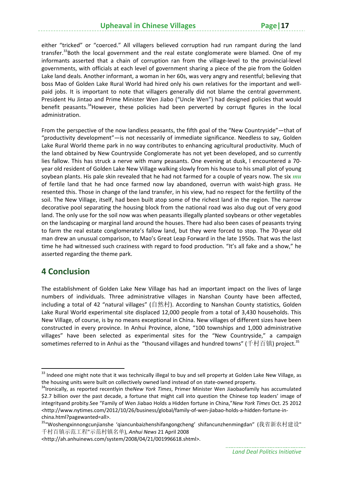either "tricked" or "coerced." All villagers believed corruption had run rampant during the land transfer.<sup>33</sup>Both the local government and the real estate conglomerate were blamed. One of my informants asserted that a chain of corruption ran from the village-level to the provincial-level governments, with officials at each level of government sharing a piece of the pie from the Golden Lake land deals. Another informant, a woman in her 60s, was very angry and resentful; believing that boss Mao of Golden Lake Rural World had hired only his own relatives for the important and wellpaid jobs. It is important to note that villagers generally did not blame the central government. President Hu Jintao and Prime Minister Wen Jiabo ("Uncle Wen") had designed policies that would benefit peasants.<sup>34</sup>However, these policies had been perverted by corrupt figures in the local administration.

From the perspective of the now landless peasants, the fifth goal of the "New Countryside"—that of "productivity development"—is not necessarily of immediate significance. Needless to say, Golden Lake Rural World theme park in no way contributes to enhancing agricultural productivity. Much of the land obtained by New Countryside Conglomerate has not yet been developed, and so currently lies fallow. This has struck a nerve with many peasants. One evening at dusk, I encountered a 70‐ year old resident of Golden Lake New Village walking slowly from his house to his small plot of young soybean plants. His pale skin revealed that he had not farmed for a couple of years now. The six *mu* of fertile land that he had once farmed now lay abandoned, overrun with waist-high grass. He resented this. Those in change of the land transfer, in his view, had no respect for the fertility of the soil. The New Village, itself, had been built atop some of the richest land in the region. The narrow decorative pool separating the housing block from the national road was also dug out of very good land. The only use for the soil now was when peasants illegally planted soybeans or other vegetables on the landscaping or marginal land around the houses. There had also been cases of peasants trying to farm the real estate conglomerate's fallow land, but they were forced to stop. The 70‐year old man drew an unusual comparison, to Mao's Great Leap Forward in the late 1950s. That was the last time he had witnessed such craziness with regard to food production. "It's all fake and a show," he asserted regarding the theme park.

### **4 Conclusion**

The establishment of Golden Lake New Village has had an important impact on the lives of large numbers of individuals. Three administrative villages in Nanshan County have been affected, including a total of 42 "natural villages" (自然村). According to Nanshan County statistics, Golden Lake Rural World experimental site displaced 12,000 people from a total of 3,430 households. This New Village, of course, is by no means exceptional in China. New villages of different sizes have been constructed in every province. In Anhui Province, alone, "100 townships and 1,000 administrative villages" have been selected as experimental sites for the "New Countryside," a campaign sometimes referred to in Anhui as the "thousand villages and hundred towns" (千村百镇) project.<sup>35</sup>

<sup>&</sup>lt;sup>33</sup> Indeed one might note that it was technically illegal to buy and sell property at Golden Lake New Village, as the housing units were built on collectively owned land instead of on state‐owned property. 34Ironically, as reported recentlyin the*New York Times*, Primer Minister Wen Jiaobaofamily has accumulated

<sup>\$2.7</sup> billion over the past decade, a fortune that might call into question the Chinese top leaders' image of integrityand probity.See "Family of Wen Jiabao Holds a Hidden fortune in China,"*New York Times* Oct. 25 2012 <http://www.nytimes.com/2012/10/26/business/global/family‐of‐wen‐jiabao‐holds‐a‐hidden‐fortune‐in‐ china.html?pagewanted=all>.

<sup>&</sup>lt;sup>35</sup>"Woshengxinnongcunjianshe 'qiancunbaizhenshifangongcheng' shifancunzhenmingdan" (我省新农村建设" 千村百镇示范工程"示范村镇名单), *Anhui News* 21 April 2008

<sup>&</sup>lt;http://ah.anhuinews.com/system/2008/04/21/001996618.shtml>.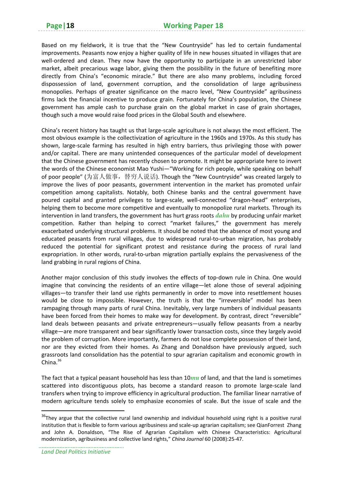Based on my fieldwork, it is true that the "New Countryside" has led to certain fundamental improvements. Peasants now enjoy a higher quality of life in new houses situated in villages that are well-ordered and clean. They now have the opportunity to participate in an unrestricted labor market, albeit precarious wage labor, giving them the possibility in the future of benefiting more directly from China's "economic miracle." But there are also many problems, including forced dispossession of land, government corruption, and the consolidation of large agribusiness monopolies. Perhaps of greater significance on the macro level, "New Countryside" agribusiness firms lack the financial incentive to produce grain. Fortunately for China's population, the Chinese government has ample cash to purchase grain on the global market in case of grain shortages, though such a move would raise food prices in the Global South and elsewhere.

China's recent history has taught us that large‐scale agriculture is not always the most efficient. The most obvious example is the collectivization of agriculture in the 1960s and 1970s. As this study has shown, large‐scale farming has resulted in high entry barriers, thus privileging those with power and/or capital. There are many unintended consequences of the particular model of development that the Chinese government has recently chosen to promote. It might be appropriate here to invert the words of the Chinese economist Mao Yushi—"Working for rich people, while speaking on behalf of poor people" (为富人做事, 替穷人说话). Though the "New Countryside" was created largely to improve the lives of poor peasants, government intervention in the market has promoted unfair competition among capitalists. Notably, both Chinese banks and the central government have poured capital and granted privileges to large‐scale, well‐connected "dragon‐head" enterprises, helping them to become more competitive and eventually to monopolize rural markets. Through its intervention in land transfers, the government has hurt grass roots *dahu* by producing unfair market competition. Rather than helping to correct "market failures," the government has merely exacerbated underlying structural problems. It should be noted that the absence of most young and educated peasants from rural villages, due to widespread rural-to-urban migration, has probably reduced the potential for significant protest and resistance during the process of rural land expropriation. In other words, rural-to-urban migration partially explains the pervasiveness of the land grabbing in rural regions of China.

Another major conclusion of this study involves the effects of top‐down rule in China. One would imagine that convincing the residents of an entire village—let alone those of several adjoining villages—to transfer their land use rights permanently in order to move into resettlement houses would be close to impossible. However, the truth is that the "irreversible" model has been rampaging through many parts of rural China. Inevitably, very large numbers of individual peasants have been forced from their homes to make way for development. By contrast, direct "reversible" land deals between peasants and private entrepreneurs—usually fellow peasants from a nearby village—are more transparent and bear significantly lower transaction costs, since they largely avoid the problem of corruption. More importantly, farmers do not lose complete possession of their land, nor are they evicted from their homes. As Zhang and Donaldson have previously argued, such grassroots land consolidation has the potential to spur agrarian capitalism and economic growth in China. $36$ 

The fact that a typical peasant household has less than 10*mu* of land, and that the land is sometimes scattered into discontiguous plots, has become a standard reason to promote large-scale land transfers when trying to improve efficiency in agricultural production. The familiar linear narrative of modern agriculture tends solely to emphasize economies of scale. But the issue of scale and the

<sup>&</sup>lt;sup>36</sup>They argue that the collective rural land ownership and individual household using right is a positive rural institution that is flexible to form various agribusiness and scale‐up agrarian capitalism; see QianForrest Zhang and John A. Donaldson, "The Rise of Agrarian Capitalism with Chinese Characteristics: Agricultural modernization, agribusiness and collective land rights," *China Journal* 60 (2008):25‐47.

*Land Deal Politics Initiative*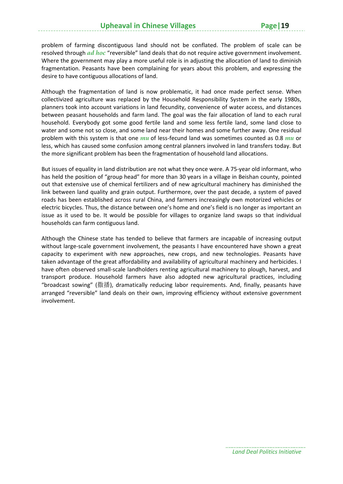problem of farming discontiguous land should not be conflated. The problem of scale can be resolved through *ad hoc* "reversible" land deals that do not require active government involvement. Where the government may play a more useful role is in adjusting the allocation of land to diminish fragmentation. Peasants have been complaining for years about this problem, and expressing the desire to have contiguous allocations of land.

Although the fragmentation of land is now problematic, it had once made perfect sense. When collectivized agriculture was replaced by the Household Responsibility System in the early 1980s, planners took into account variations in land fecundity, convenience of water access, and distances between peasant households and farm land. The goal was the fair allocation of land to each rural household. Everybody got some good fertile land and some less fertile land, some land close to water and some not so close, and some land near their homes and some further away. One residual problem with this system is that one *mu* of less‐fecund land was sometimes counted as 0.8 *mu* or less, which has caused some confusion among central planners involved in land transfers today. But the more significant problem has been the fragmentation of household land allocations.

But issues of equality in land distribution are not what they once were. A 75‐year old informant, who has held the position of "group head" for more than 30 years in a village in Beishan county, pointed out that extensive use of chemical fertilizers and of new agricultural machinery has diminished the link between land quality and grain output. Furthermore, over the past decade, a system of paved roads has been established across rural China, and farmers increasingly own motorized vehicles or electric bicycles. Thus, the distance between one's home and one's field is no longer as important an issue as it used to be. It would be possible for villages to organize land swaps so that individual households can farm contiguous land.

Although the Chinese state has tended to believe that farmers are incapable of increasing output without large-scale government involvement, the peasants I have encountered have shown a great capacity to experiment with new approaches, new crops, and new technologies. Peasants have taken advantage of the great affordability and availability of agricultural machinery and herbicides. I have often observed small-scale landholders renting agricultural machinery to plough, harvest, and transport produce. Household farmers have also adopted new agricultural practices, including "broadcast sowing" (撒播), dramatically reducing labor requirements. And, finally, peasants have arranged "reversible" land deals on their own, improving efficiency without extensive government involvement.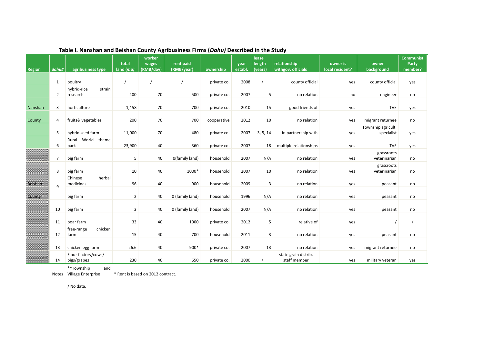| Region  | dahu#          | agribusiness type                  | total<br>$land$ ( $mu$ ) | worker<br>wages<br>(RMB/day) | rent paid<br>(RMB/year) | ownership   | year<br>establ. | lease<br>length<br>(years) | relationship<br>withgov. officials   | owner is<br>local resident? | owner<br>background              | <b>Communist</b><br>Party<br>member? |
|---------|----------------|------------------------------------|--------------------------|------------------------------|-------------------------|-------------|-----------------|----------------------------|--------------------------------------|-----------------------------|----------------------------------|--------------------------------------|
|         |                |                                    |                          |                              |                         |             |                 |                            |                                      |                             |                                  |                                      |
|         | 1              | poultry                            |                          |                              |                         | private co. | 2008            |                            | county official                      | yes                         | county official                  | yes                                  |
|         | 2              | hybrid-rice<br>strain<br>research  | 400                      | 70                           | 500                     | private co. | 2007            | 5                          | no relation                          | no                          | engineer                         | no                                   |
| Nanshan | 3              | horticulture                       | 1,458                    | 70                           | 700                     | private co. | 2010            | 15                         | good friends of                      | yes                         | <b>TVE</b>                       | yes                                  |
| County  | 4              | fruits& vegetables                 | 200                      | 70                           | 700                     | cooperative | 2012            | 10                         | no relation                          | yes                         | migrant returnee                 | no                                   |
|         | 5              | hybrid seed farm                   | 11,000                   | 70                           | 480                     | private co. | 2007            | 3, 5, 14                   | in partnership with                  | yes                         | Township agricult.<br>specialist | yes                                  |
|         | 6              | World theme<br>Rural<br>park       | 23,900                   | 40                           | 360                     | private co. | 2007            | 18                         | multiple relationships               | yes                         | <b>TVE</b>                       | yes                                  |
|         | $\overline{7}$ | pig farm                           | 5                        | 40                           | O(family land)          | household   | 2007            | N/A                        | no relation                          | yes                         | grassroots<br>veterinarian       | no                                   |
|         | 8              | pig farm                           | 10                       | 40                           | 1000*                   | household   | 2007            | 10                         | no relation                          | yes                         | grassroots<br>veterinarian       | no                                   |
| Beishan | 9              | herbal<br>Chinese<br>medicines     | 96                       | 40                           | 900                     | household   | 2009            | $\overline{3}$             | no relation                          | yes                         | peasant                          | no                                   |
| County  |                | pig farm                           | $\overline{2}$           | 40                           | 0 (family land)         | household   | 1996            | N/A                        | no relation                          | yes                         | peasant                          | no                                   |
|         | 10             | pig farm                           | $\overline{2}$           | 40                           | 0 (family land)         | household   | 2007            | N/A                        | no relation                          | yes                         | peasant                          | no                                   |
|         | 11             | boar farm                          | 33                       | 40                           | 1000                    | private co. | 2012            | 5                          | relative of                          | yes                         |                                  |                                      |
|         | 12             | chicken<br>free-range<br>farm      | 15                       | 40                           | 700                     | household   | 2011            | $\overline{3}$             | no relation                          | yes                         | peasant                          | no                                   |
|         | 13             | chicken egg farm                   | 26.6                     | 40                           | 900*                    | private co. | 2007            | 13                         | no relation                          | yes                         | migrant returnee                 | no                                   |
|         | 14             | Flour factory/cows/<br>pigs/grapes | 230                      | 40                           | 650                     | private co. | 2000            |                            | state grain distrib.<br>staff member | yes                         | military veteran                 | yes                                  |

#### **Table I. Nanshan and Beishan County Agribusiness Firms (***Dahu)* **Described in the Study**

\*\*Township and

Notes \* Rent is based on 2012 contract.

/ No data.